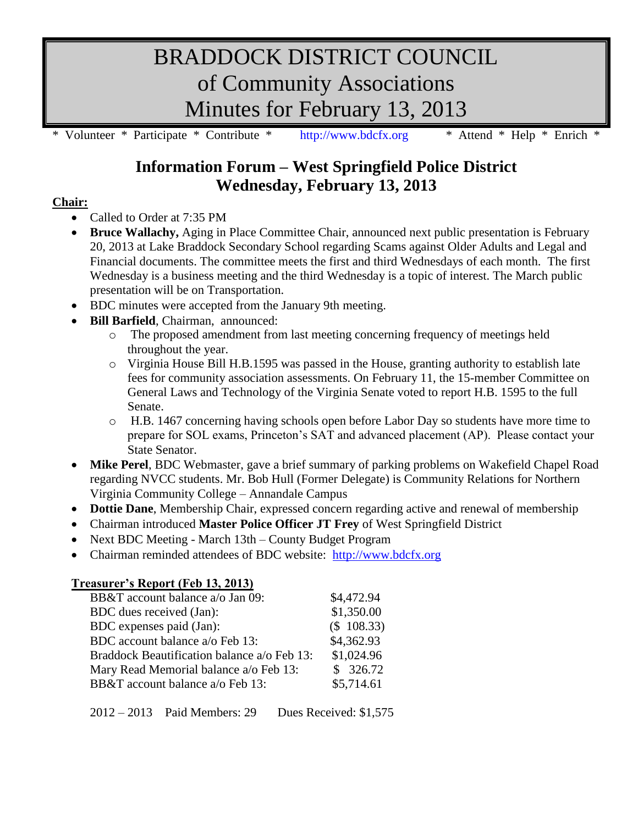# BRADDOCK DISTRICT COUNCIL of Community Associations Minutes for February 13, 2013

\* Volunteer \* Participate \* Contribute \* [http://www.bdcfx.org](http://www.bdcfx.org/) \* Attend \* Help \* Enrich \*

## **Information Forum – West Springfield Police District Wednesday, February 13, 2013**

### **Chair:**

- Called to Order at 7:35 PM
- **Bruce Wallachy,** Aging in Place Committee Chair, announced next public presentation is February 20, 2013 at Lake Braddock Secondary School regarding Scams against Older Adults and Legal and Financial documents. The committee meets the first and third Wednesdays of each month. The first Wednesday is a business meeting and the third Wednesday is a topic of interest. The March public presentation will be on Transportation.
- BDC minutes were accepted from the January 9th meeting.
- **Bill Barfield**, Chairman, announced:
	- o The proposed amendment from last meeting concerning frequency of meetings held throughout the year.
	- o Virginia House Bill H.B.1595 was passed in the House, granting authority to establish late fees for community association assessments. On February 11, the 15-member Committee on General Laws and Technology of the Virginia Senate voted to report H.B. 1595 to the full Senate.
	- o H.B. 1467 concerning having schools open before Labor Day so students have more time to prepare for SOL exams, Princeton's SAT and advanced placement (AP). Please contact your State Senator.
- **Mike Perel**, BDC Webmaster, gave a brief summary of parking problems on Wakefield Chapel Road regarding NVCC students. Mr. Bob Hull (Former Delegate) is Community Relations for Northern Virginia Community College – Annandale Campus
- **Dottie Dane**, Membership Chair, expressed concern regarding active and renewal of membership
- Chairman introduced **Master Police Officer JT Frey** of West Springfield District
- Next BDC Meeting March 13th County Budget Program
- Chairman reminded attendees of BDC website: [http://www.bdcfx.org](http://www.bdcfx.org/)

#### **Treasurer's Report (Feb 13, 2013)** BB&T account balance a/o Jan 09: \$4,472.94 BDC dues received (Jan): \$1,350.00 BDC expenses paid (Jan): (\$ 108.33) BDC account balance a/o Feb 13: \$4,362.93 Braddock Beautification balance a/o Feb 13: \$1,024.96 Mary Read Memorial balance  $a$  Feb 13: \$ 326.72 BB&T account balance a/o Feb 13: \$5,714.61

2012 – 2013 Paid Members: 29 Dues Received: \$1,575